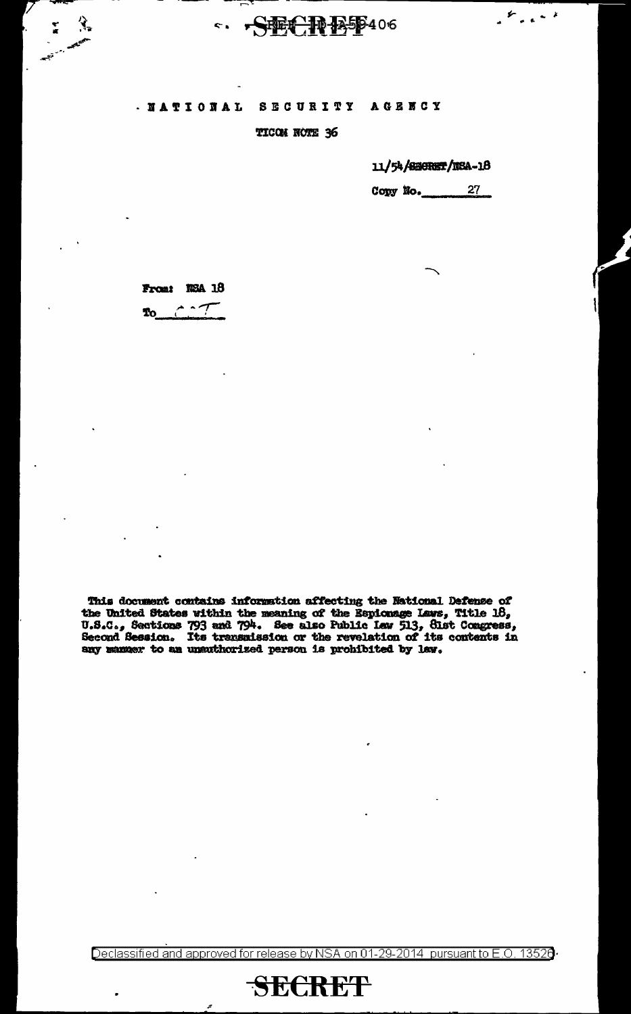### ·S整CPB559406  $\leq$

#### . NATIONAL **SECURITY AGENCY**

### TICON NOTE 36

### 11/54/2BORST/NSA-18

 $\mathcal{L}_{\text{total}}$ 

 $27$ Copy No.

From: NSA 18 To

This document contains information affecting the National Defense of<br>the United States within the meaning of the Espionage Laws, Title 18,<br>U.S.C., Sections 793 and 794. See also Public Lew 513, Sist Congress,<br>Second Sessi any manuer to an unauthorized person is prohibited by law.

Declassified and approved for release by NSA on 01-29-2014 pursuant to E.O. 13520

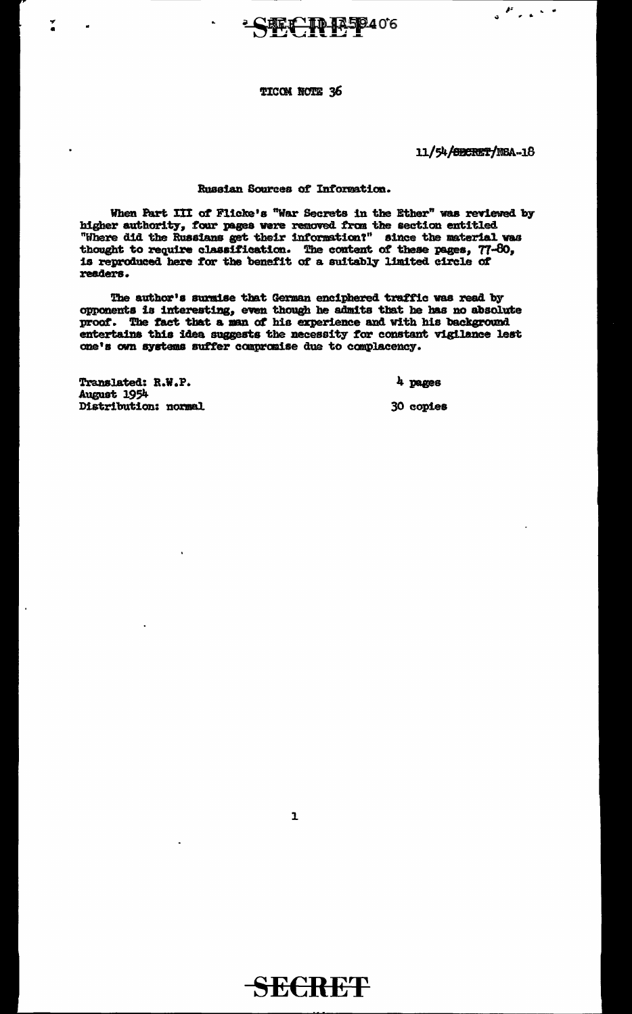## **FEC ID 1250406**

### TICON NOTE 36

### 11/54/SECRET/NSA-18

 $\mathcal{L}$  , and the set of  $\mathcal{L}$ 

### Russian Sources of Information.

When Part III of Flicke's "War Secrets in the Ether" was reviewed by higher authority, four pages were removed from the section entitled "Where did the Russians get their information?" since the material was thought to require classification. The content of these pages, 77-80, is reproduced here for the benefit of a suitably limited circle of readers.

The author's surmise that German enciphered traffic was read by opponents is interesting, even though he admits that he has no absolute proof. The fact that a man of his experience and with his background entertains this idea suggests the necessity for constant vigilance lest one's own systems suffer compromise due to complacency.

Translated: R.W.P. August 1954 Distribution: normal

 $\tilde{\cdot}$ 

4 pages

30 copies

 $\mathbf{1}$ 

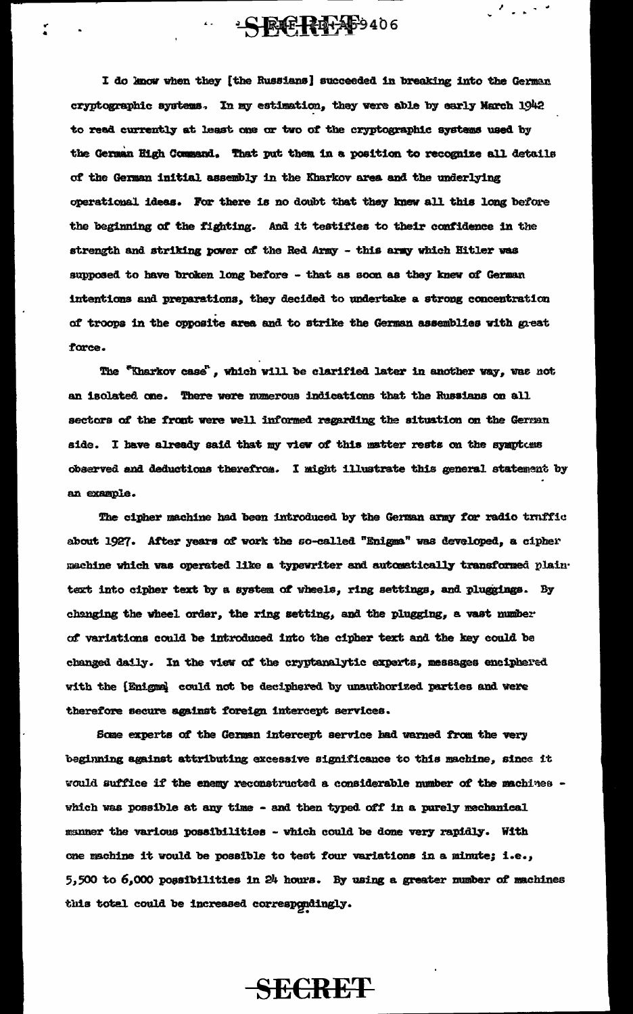I do know when they [the Russians] succeeded in breaking into the German cryptographic systems. In my estimation, they were able by early March 1942 to read currently at least one or two of the cryptographic systems used by the German High Command. That put them in a position to recognize all details of the German initial assembly in the Kharkov area and the underlying operational ideas. For there is no doubt that they knew all this long before the beginning of the fighting. And it testifies to their confidence in the strength and striking power of the Red Army - this army which Hitler was supposed to have broken long before - that as soon as they knew of German intentions and preparations, they decided to undertake a strong concentration of troops in the opposite area and to strike the German assemblies with great force.

·SECREF-9406

 $\mathcal{F}_{\text{max}}$  , and

The "Kharkov case", which will be clarified later in another way, was not an isolated one. There were numerous indications that the Russians on all sectors of the front were well informed regarding the situation on the German side. I have already said that my view of this matter rests on the symptoms observed and deductions therefrom. I might illustrate this general statement by an example.

The cipher machine had been introduced by the German army for radio truffic about 1927. After years of work the so-called "Enigma" was developed, a cipher machine which was operated like a typewriter and automatically transformed plaintext into cipher text by a system of wheels, ring settings, and pluggings. By changing the wheel order, the ring setting, and the plugging, a vast mumber of variations could be introduced into the cipher text and the key could be changed daily. In the view of the cryptanalytic experts, messages enciphered with the [Enigma] could not be deciphered by unauthorized parties and were therefore secure against foreign intercept services.

Some experts of the German intercept service had warned from the very beginning against attributing excessive significance to this machine, since it would suffice if the enemy reconstructed a considerable number of the machines which was possible at any time - and then typed off in a purely mechanical manner the various possibilities - which could be done very rapidly. With one machine it would be possible to test four variations in a minute; i.e., 5,500 to 6,000 possibilities in 24 hours. By using a greater number of machines this total could be increased correspondingly.

**SECRET**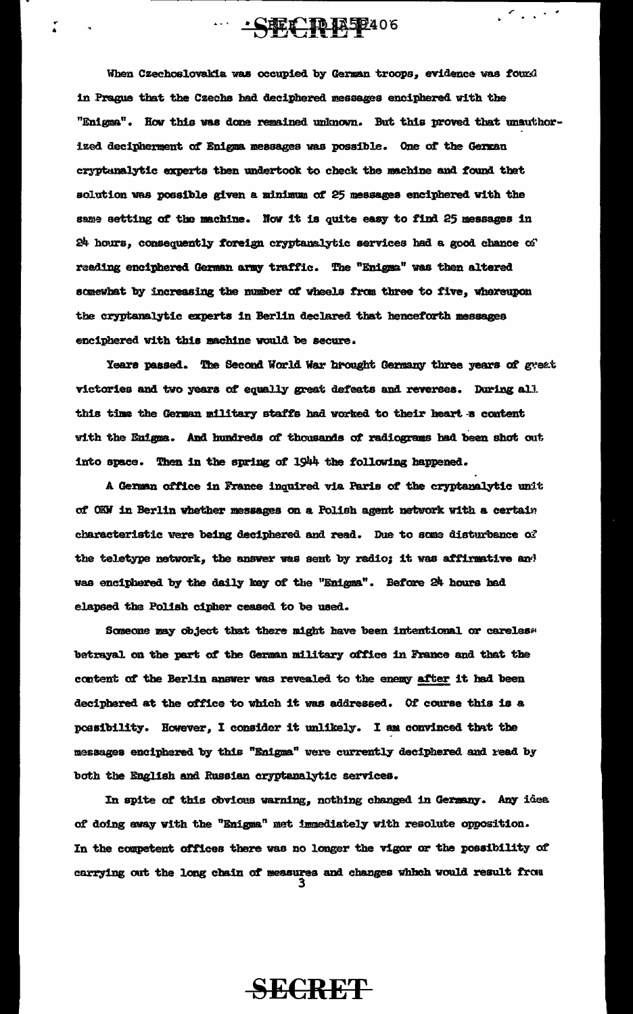When Czechoslovakia was occupied by German troops, evidence was found in Prague that the Czechs had deciphered messages enciphered with the "Enigma". How this was done remained unknown. But this proved that unauthorized decipherment of Enigma messages was possible. One of the German cryptunalytic experts then undertook to check the machine and found that solution was possible given a minimum of 25 messages enciphered with the same setting of the machine. Now it is quite easy to find 25 messages in  $24$  hours, consequently foreign cryptanslytic services had a good chance of reading enciphered German army traffic. The "Enigma" was then altered somewhat by increasing the number of wheels from three to five, whereupon the cryptanalytic experts in Berlin declared that henceforth messages enciphered with this machine would be secure.

 $\overline{SFR}$   $\overline{R}$   $\overline{R}$   $\overline{R}$   $\overline{R}$   $\overline{R}$   $\overline{R}$   $\overline{R}$   $\overline{R}$   $\overline{R}$   $\overline{R}$   $\overline{R}$   $\overline{R}$   $\overline{R}$   $\overline{R}$   $\overline{R}$   $\overline{R}$   $\overline{R}$   $\overline{R}$   $\overline{R}$   $\overline{R}$   $\overline{R}$   $\overline{R}$   $\overline{R}$   $\overline$ 

 $\leq$  , , , , ,

Years passed. The Second World War brought Germany three years of great victories and two years of equally great defeats and reverses. During all this time the German military staffs had worked to their heart & content with the Enigma. And hundreds of thousands of radiograms had been shot out into space. Then in the spring of 1944 the following happened.

A German office in France inquired via Paris of the cryptanalytic unit of OKW in Berlin whether messages on a Polish agent network with a certain characteristic were being deciphered and read. Due to some disturbance of the teletype network, the answer was sent by radio; it was affirmative and was enciphered by the daily key of the "Enigma". Before 24 hours had elapsed the Polish cipher ceased to be used.

Someone may object that there might have been intentional or careles» betrayal on the part of the German military office in France and that the content of the Berlin answer was revealed to the enemy after it had been deciphered at the office to which it was addressed. Of course this is a possibility. However, I consider it unlikely. I am convinced that the messages enciphered by this "Enigma" were currently deciphered and read by both the English and Russian cryptanalytic services.

In spite of this obvious warning, nothing changed in Germany. Any idea of doing away with the "Enigma" met immediately with resolute opposition. In the competent offices there was no longer the vigor or the possibility of carrying out the long chain of measures and changes which would result from  $\frac{3}{3}$